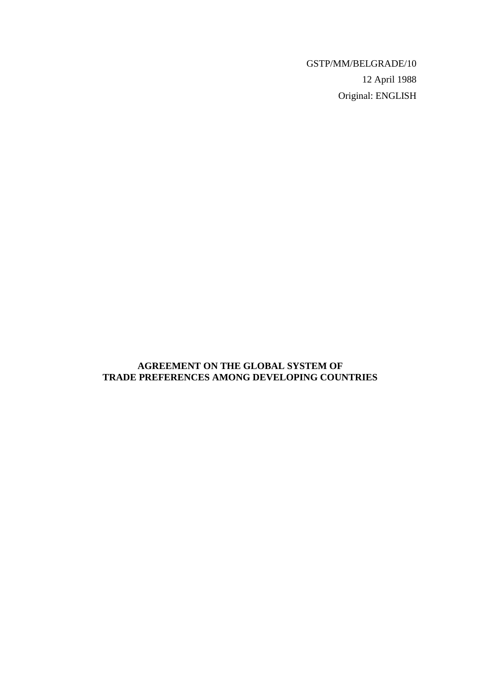GSTP/MM/BELGRADE/10 12 April 1988 Original: ENGLISH

## **AGREEMENT ON THE GLOBAL SYSTEM OF TRADE PREFERENCES AMONG DEVELOPING COUNTRIES**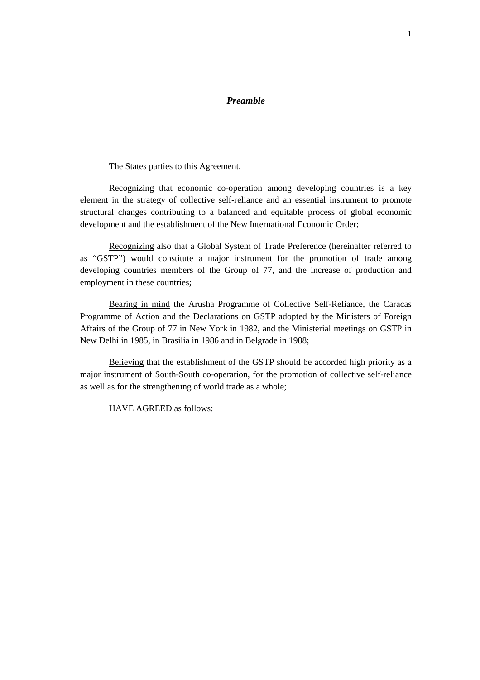#### *Preamble*

The States parties to this Agreement,

Recognizing that economic co-operation among developing countries is a key element in the strategy of collective self-reliance and an essential instrument to promote structural changes contributing to a balanced and equitable process of global economic development and the establishment of the New International Economic Order;

Recognizing also that a Global System of Trade Preference (hereinafter referred to as "GSTP") would constitute a major instrument for the promotion of trade among developing countries members of the Group of 77, and the increase of production and employment in these countries;

Bearing in mind the Arusha Programme of Collective Self-Reliance, the Caracas Programme of Action and the Declarations on GSTP adopted by the Ministers of Foreign Affairs of the Group of 77 in New York in 1982, and the Ministerial meetings on GSTP in New Delhi in 1985, in Brasilia in 1986 and in Belgrade in 1988;

Believing that the establishment of the GSTP should be accorded high priority as a major instrument of South-South co-operation, for the promotion of collective self-reliance as well as for the strengthening of world trade as a whole;

HAVE AGREED as follows: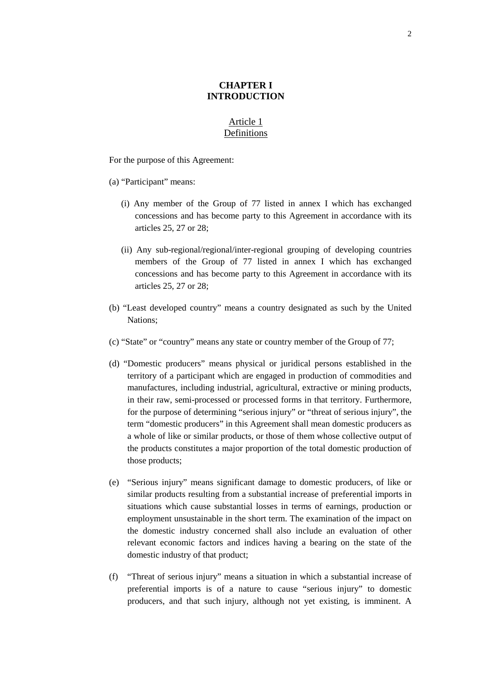## **CHAPTER I INTRODUCTION**

#### Article 1 Definitions

For the purpose of this Agreement:

(a) "Participant" means:

- (i) Any member of the Group of 77 listed in annex I which has exchanged concessions and has become party to this Agreement in accordance with its articles 25, 27 or 28;
- (ii) Any sub-regional/regional/inter-regional grouping of developing countries members of the Group of 77 listed in annex I which has exchanged concessions and has become party to this Agreement in accordance with its articles 25, 27 or 28;
- (b) "Least developed country" means a country designated as such by the United Nations;
- (c) "State" or "country" means any state or country member of the Group of 77;
- (d) "Domestic producers" means physical or juridical persons established in the territory of a participant which are engaged in production of commodities and manufactures, including industrial, agricultural, extractive or mining products, in their raw, semi-processed or processed forms in that territory. Furthermore, for the purpose of determining "serious injury" or "threat of serious injury", the term "domestic producers" in this Agreement shall mean domestic producers as a whole of like or similar products, or those of them whose collective output of the products constitutes a major proportion of the total domestic production of those products;
- (e) "Serious injury" means significant damage to domestic producers, of like or similar products resulting from a substantial increase of preferential imports in situations which cause substantial losses in terms of earnings, production or employment unsustainable in the short term. The examination of the impact on the domestic industry concerned shall also include an evaluation of other relevant economic factors and indices having a bearing on the state of the domestic industry of that product;
- (f) "Threat of serious injury" means a situation in which a substantial increase of preferential imports is of a nature to cause "serious injury" to domestic producers, and that such injury, although not yet existing, is imminent. A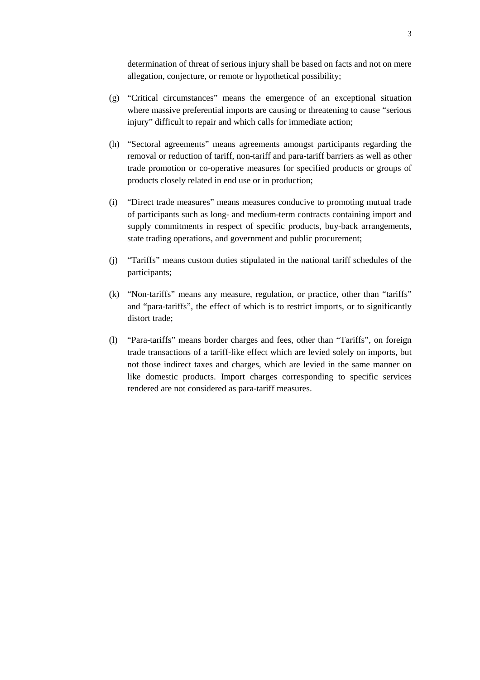determination of threat of serious injury shall be based on facts and not on mere allegation, conjecture, or remote or hypothetical possibility;

- (g) "Critical circumstances" means the emergence of an exceptional situation where massive preferential imports are causing or threatening to cause "serious injury" difficult to repair and which calls for immediate action;
- (h) "Sectoral agreements" means agreements amongst participants regarding the removal or reduction of tariff, non-tariff and para-tariff barriers as well as other trade promotion or co-operative measures for specified products or groups of products closely related in end use or in production;
- (i) "Direct trade measures" means measures conducive to promoting mutual trade of participants such as long- and medium-term contracts containing import and supply commitments in respect of specific products, buy-back arrangements, state trading operations, and government and public procurement;
- (j) "Tariffs" means custom duties stipulated in the national tariff schedules of the participants;
- (k) "Non-tariffs" means any measure, regulation, or practice, other than "tariffs" and "para-tariffs", the effect of which is to restrict imports, or to significantly distort trade;
- (l) "Para-tariffs" means border charges and fees, other than "Tariffs", on foreign trade transactions of a tariff-like effect which are levied solely on imports, but not those indirect taxes and charges, which are levied in the same manner on like domestic products. Import charges corresponding to specific services rendered are not considered as para-tariff measures.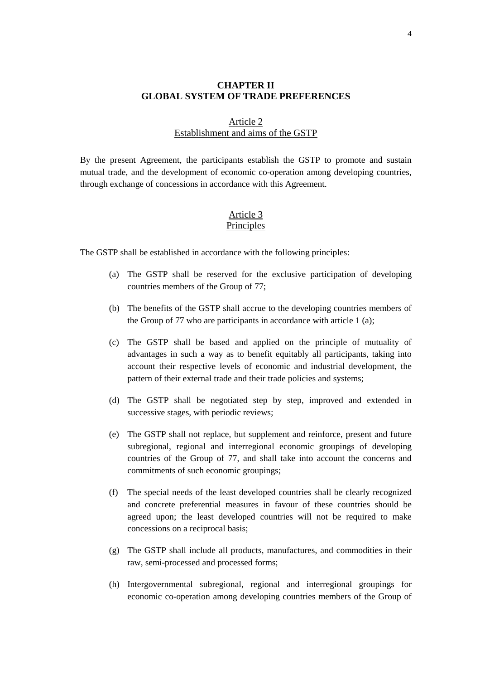## **CHAPTER II GLOBAL SYSTEM OF TRADE PREFERENCES**

## Article 2 Establishment and aims of the GSTP

By the present Agreement, the participants establish the GSTP to promote and sustain mutual trade, and the development of economic co-operation among developing countries, through exchange of concessions in accordance with this Agreement.

#### Article 3 Principles

The GSTP shall be established in accordance with the following principles:

- (a) The GSTP shall be reserved for the exclusive participation of developing countries members of the Group of 77;
- (b) The benefits of the GSTP shall accrue to the developing countries members of the Group of 77 who are participants in accordance with article 1 (a);
- (c) The GSTP shall be based and applied on the principle of mutuality of advantages in such a way as to benefit equitably all participants, taking into account their respective levels of economic and industrial development, the pattern of their external trade and their trade policies and systems;
- (d) The GSTP shall be negotiated step by step, improved and extended in successive stages, with periodic reviews;
- (e) The GSTP shall not replace, but supplement and reinforce, present and future subregional, regional and interregional economic groupings of developing countries of the Group of 77, and shall take into account the concerns and commitments of such economic groupings;
- (f) The special needs of the least developed countries shall be clearly recognized and concrete preferential measures in favour of these countries should be agreed upon; the least developed countries will not be required to make concessions on a reciprocal basis;
- (g) The GSTP shall include all products, manufactures, and commodities in their raw, semi-processed and processed forms;
- (h) Intergovernmental subregional, regional and interregional groupings for economic co-operation among developing countries members of the Group of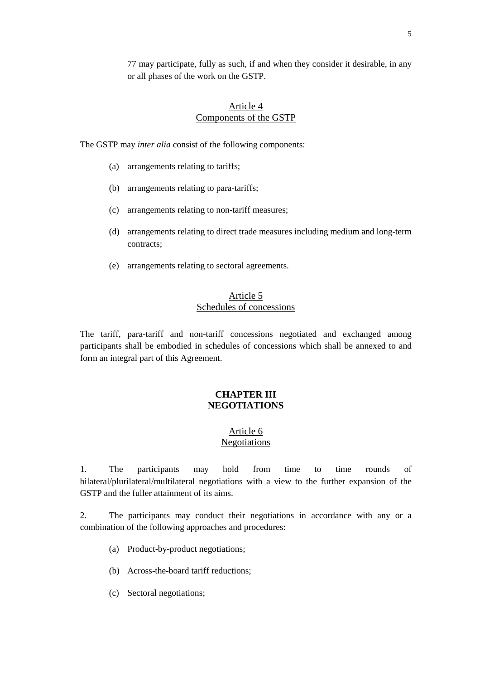77 may participate, fully as such, if and when they consider it desirable, in any or all phases of the work on the GSTP.

#### Article 4 Components of the GSTP

The GSTP may *inter alia* consist of the following components:

- (a) arrangements relating to tariffs;
- (b) arrangements relating to para-tariffs;
- (c) arrangements relating to non-tariff measures;
- (d) arrangements relating to direct trade measures including medium and long-term contracts;
- (e) arrangements relating to sectoral agreements.

## Article 5 Schedules of concessions

The tariff, para-tariff and non-tariff concessions negotiated and exchanged among participants shall be embodied in schedules of concessions which shall be annexed to and form an integral part of this Agreement.

## **CHAPTER III NEGOTIATIONS**

# Article 6

# **Negotiations**

1. The participants may hold from time to time rounds of bilateral/plurilateral/multilateral negotiations with a view to the further expansion of the GSTP and the fuller attainment of its aims.

2. The participants may conduct their negotiations in accordance with any or a combination of the following approaches and procedures:

- (a) Product-by-product negotiations;
- (b) Across-the-board tariff reductions;
- (c) Sectoral negotiations;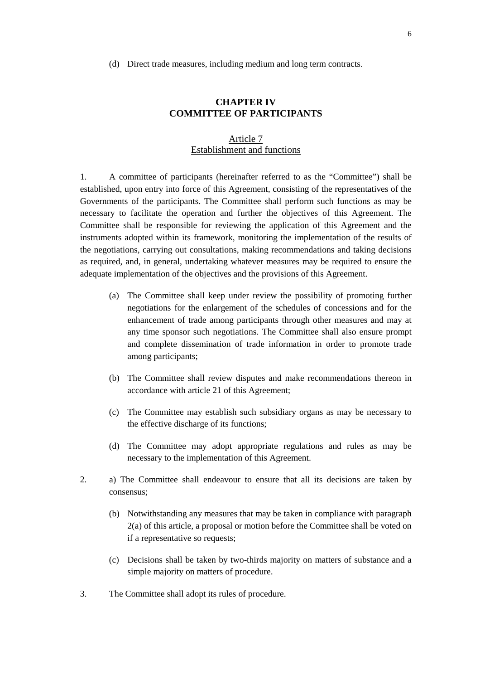(d) Direct trade measures, including medium and long term contracts.

## **CHAPTER IV COMMITTEE OF PARTICIPANTS**

#### Article 7 Establishment and functions

1. A committee of participants (hereinafter referred to as the "Committee") shall be established, upon entry into force of this Agreement, consisting of the representatives of the Governments of the participants. The Committee shall perform such functions as may be necessary to facilitate the operation and further the objectives of this Agreement. The Committee shall be responsible for reviewing the application of this Agreement and the instruments adopted within its framework, monitoring the implementation of the results of the negotiations, carrying out consultations, making recommendations and taking decisions as required, and, in general, undertaking whatever measures may be required to ensure the adequate implementation of the objectives and the provisions of this Agreement.

- (a) The Committee shall keep under review the possibility of promoting further negotiations for the enlargement of the schedules of concessions and for the enhancement of trade among participants through other measures and may at any time sponsor such negotiations. The Committee shall also ensure prompt and complete dissemination of trade information in order to promote trade among participants;
- (b) The Committee shall review disputes and make recommendations thereon in accordance with article 21 of this Agreement;
- (c) The Committee may establish such subsidiary organs as may be necessary to the effective discharge of its functions;
- (d) The Committee may adopt appropriate regulations and rules as may be necessary to the implementation of this Agreement.
- 2. a) The Committee shall endeavour to ensure that all its decisions are taken by consensus;
	- (b) Notwithstanding any measures that may be taken in compliance with paragraph 2(a) of this article, a proposal or motion before the Committee shall be voted on if a representative so requests;
	- (c) Decisions shall be taken by two-thirds majority on matters of substance and a simple majority on matters of procedure.
- 3. The Committee shall adopt its rules of procedure.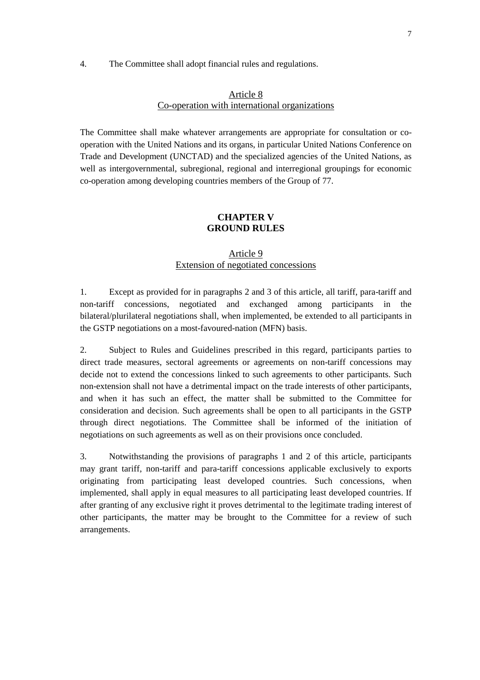4. The Committee shall adopt financial rules and regulations.

## Article 8 Co-operation with international organizations

The Committee shall make whatever arrangements are appropriate for consultation or cooperation with the United Nations and its organs, in particular United Nations Conference on Trade and Development (UNCTAD) and the specialized agencies of the United Nations, as well as intergovernmental, subregional, regional and interregional groupings for economic co-operation among developing countries members of the Group of 77.

## **CHAPTER V GROUND RULES**

## Article 9 Extension of negotiated concessions

1. Except as provided for in paragraphs 2 and 3 of this article, all tariff, para-tariff and non-tariff concessions, negotiated and exchanged among participants in the bilateral/plurilateral negotiations shall, when implemented, be extended to all participants in the GSTP negotiations on a most-favoured-nation (MFN) basis.

2. Subject to Rules and Guidelines prescribed in this regard, participants parties to direct trade measures, sectoral agreements or agreements on non-tariff concessions may decide not to extend the concessions linked to such agreements to other participants. Such non-extension shall not have a detrimental impact on the trade interests of other participants, and when it has such an effect, the matter shall be submitted to the Committee for consideration and decision. Such agreements shall be open to all participants in the GSTP through direct negotiations. The Committee shall be informed of the initiation of negotiations on such agreements as well as on their provisions once concluded.

3. Notwithstanding the provisions of paragraphs 1 and 2 of this article, participants may grant tariff, non-tariff and para-tariff concessions applicable exclusively to exports originating from participating least developed countries. Such concessions, when implemented, shall apply in equal measures to all participating least developed countries. If after granting of any exclusive right it proves detrimental to the legitimate trading interest of other participants, the matter may be brought to the Committee for a review of such arrangements.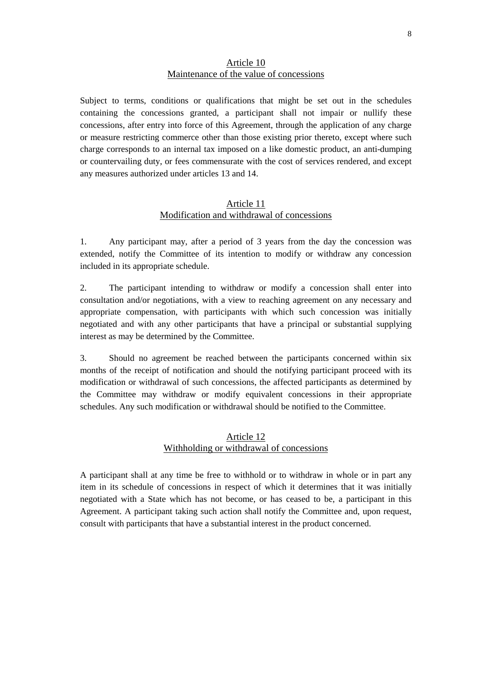#### Article 10 Maintenance of the value of concessions

Subject to terms, conditions or qualifications that might be set out in the schedules containing the concessions granted, a participant shall not impair or nullify these concessions, after entry into force of this Agreement, through the application of any charge or measure restricting commerce other than those existing prior thereto, except where such charge corresponds to an internal tax imposed on a like domestic product, an anti-dumping or countervailing duty, or fees commensurate with the cost of services rendered, and except any measures authorized under articles 13 and 14.

#### Article 11 Modification and withdrawal of concessions

1. Any participant may, after a period of 3 years from the day the concession was extended, notify the Committee of its intention to modify or withdraw any concession included in its appropriate schedule.

2. The participant intending to withdraw or modify a concession shall enter into consultation and/or negotiations, with a view to reaching agreement on any necessary and appropriate compensation, with participants with which such concession was initially negotiated and with any other participants that have a principal or substantial supplying interest as may be determined by the Committee.

3. Should no agreement be reached between the participants concerned within six months of the receipt of notification and should the notifying participant proceed with its modification or withdrawal of such concessions, the affected participants as determined by the Committee may withdraw or modify equivalent concessions in their appropriate schedules. Any such modification or withdrawal should be notified to the Committee.

## Article 12 Withholding or withdrawal of concessions

A participant shall at any time be free to withhold or to withdraw in whole or in part any item in its schedule of concessions in respect of which it determines that it was initially negotiated with a State which has not become, or has ceased to be, a participant in this Agreement. A participant taking such action shall notify the Committee and, upon request, consult with participants that have a substantial interest in the product concerned.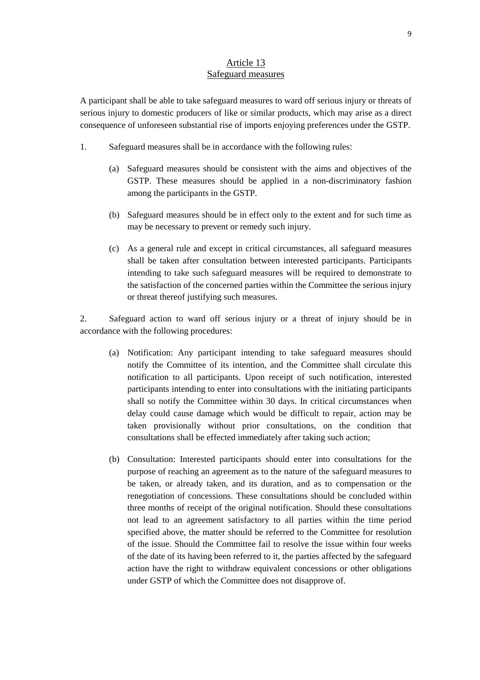### Article 13 Safeguard measures

A participant shall be able to take safeguard measures to ward off serious injury or threats of serious injury to domestic producers of like or similar products, which may arise as a direct consequence of unforeseen substantial rise of imports enjoying preferences under the GSTP.

- 1. Safeguard measures shall be in accordance with the following rules:
	- (a) Safeguard measures should be consistent with the aims and objectives of the GSTP. These measures should be applied in a non-discriminatory fashion among the participants in the GSTP.
	- (b) Safeguard measures should be in effect only to the extent and for such time as may be necessary to prevent or remedy such injury.
	- (c) As a general rule and except in critical circumstances, all safeguard measures shall be taken after consultation between interested participants. Participants intending to take such safeguard measures will be required to demonstrate to the satisfaction of the concerned parties within the Committee the serious injury or threat thereof justifying such measures.

2. Safeguard action to ward off serious injury or a threat of injury should be in accordance with the following procedures:

- (a) Notification: Any participant intending to take safeguard measures should notify the Committee of its intention, and the Committee shall circulate this notification to all participants. Upon receipt of such notification, interested participants intending to enter into consultations with the initiating participants shall so notify the Committee within 30 days. In critical circumstances when delay could cause damage which would be difficult to repair, action may be taken provisionally without prior consultations, on the condition that consultations shall be effected immediately after taking such action;
- (b) Consultation: Interested participants should enter into consultations for the purpose of reaching an agreement as to the nature of the safeguard measures to be taken, or already taken, and its duration, and as to compensation or the renegotiation of concessions. These consultations should be concluded within three months of receipt of the original notification. Should these consultations not lead to an agreement satisfactory to all parties within the time period specified above, the matter should be referred to the Committee for resolution of the issue. Should the Committee fail to resolve the issue within four weeks of the date of its having been referred to it, the parties affected by the safeguard action have the right to withdraw equivalent concessions or other obligations under GSTP of which the Committee does not disapprove of.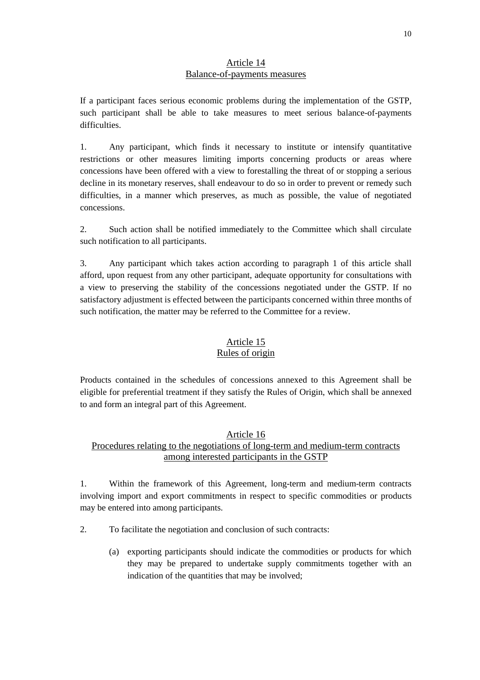## Article 14 Balance-of-payments measures

If a participant faces serious economic problems during the implementation of the GSTP, such participant shall be able to take measures to meet serious balance-of-payments difficulties.

1. Any participant, which finds it necessary to institute or intensify quantitative restrictions or other measures limiting imports concerning products or areas where concessions have been offered with a view to forestalling the threat of or stopping a serious decline in its monetary reserves, shall endeavour to do so in order to prevent or remedy such difficulties, in a manner which preserves, as much as possible, the value of negotiated concessions.

2. Such action shall be notified immediately to the Committee which shall circulate such notification to all participants.

3. Any participant which takes action according to paragraph 1 of this article shall afford, upon request from any other participant, adequate opportunity for consultations with a view to preserving the stability of the concessions negotiated under the GSTP. If no satisfactory adjustment is effected between the participants concerned within three months of such notification, the matter may be referred to the Committee for a review.

# Article 15

# Rules of origin

Products contained in the schedules of concessions annexed to this Agreement shall be eligible for preferential treatment if they satisfy the Rules of Origin, which shall be annexed to and form an integral part of this Agreement.

## Article 16

## Procedures relating to the negotiations of long-term and medium-term contracts among interested participants in the GSTP

1. Within the framework of this Agreement, long-term and medium-term contracts involving import and export commitments in respect to specific commodities or products may be entered into among participants.

- 2. To facilitate the negotiation and conclusion of such contracts:
	- (a) exporting participants should indicate the commodities or products for which they may be prepared to undertake supply commitments together with an indication of the quantities that may be involved;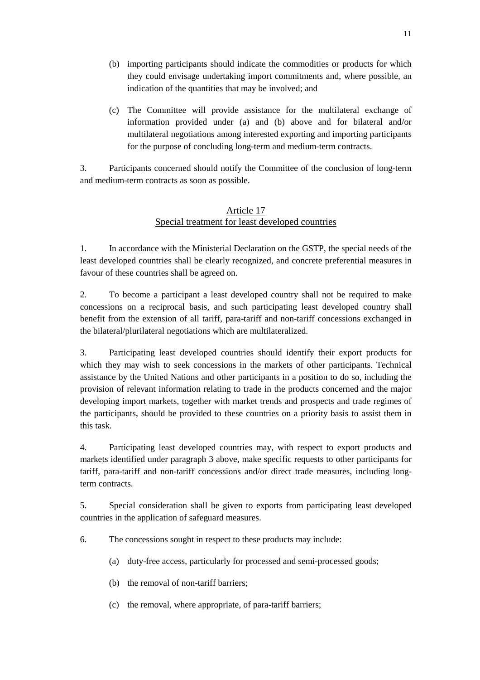- (b) importing participants should indicate the commodities or products for which they could envisage undertaking import commitments and, where possible, an indication of the quantities that may be involved; and
- (c) The Committee will provide assistance for the multilateral exchange of information provided under (a) and (b) above and for bilateral and/or multilateral negotiations among interested exporting and importing participants for the purpose of concluding long-term and medium-term contracts.

3. Participants concerned should notify the Committee of the conclusion of long-term and medium-term contracts as soon as possible.

## Article 17 Special treatment for least developed countries

1. In accordance with the Ministerial Declaration on the GSTP, the special needs of the least developed countries shall be clearly recognized, and concrete preferential measures in favour of these countries shall be agreed on.

2. To become a participant a least developed country shall not be required to make concessions on a reciprocal basis, and such participating least developed country shall benefit from the extension of all tariff, para-tariff and non-tariff concessions exchanged in the bilateral/plurilateral negotiations which are multilateralized.

3. Participating least developed countries should identify their export products for which they may wish to seek concessions in the markets of other participants. Technical assistance by the United Nations and other participants in a position to do so, including the provision of relevant information relating to trade in the products concerned and the major developing import markets, together with market trends and prospects and trade regimes of the participants, should be provided to these countries on a priority basis to assist them in this task.

4. Participating least developed countries may, with respect to export products and markets identified under paragraph 3 above, make specific requests to other participants for tariff, para-tariff and non-tariff concessions and/or direct trade measures, including longterm contracts.

5. Special consideration shall be given to exports from participating least developed countries in the application of safeguard measures.

6. The concessions sought in respect to these products may include:

- (a) duty-free access, particularly for processed and semi-processed goods;
- (b) the removal of non-tariff barriers;
- (c) the removal, where appropriate, of para-tariff barriers;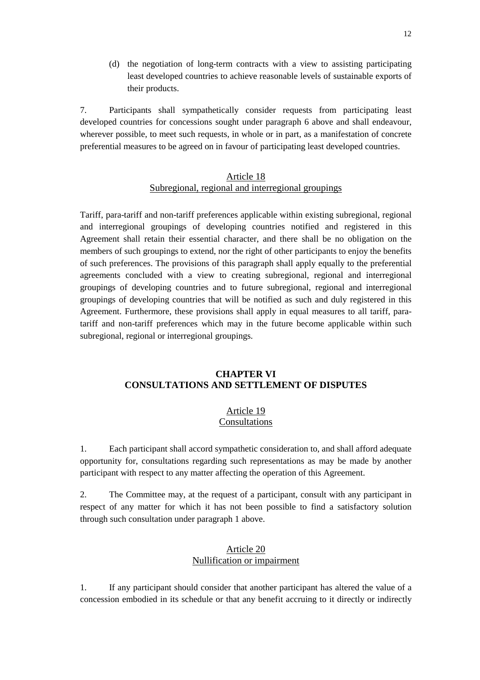(d) the negotiation of long-term contracts with a view to assisting participating least developed countries to achieve reasonable levels of sustainable exports of their products.

7. Participants shall sympathetically consider requests from participating least developed countries for concessions sought under paragraph 6 above and shall endeavour, wherever possible, to meet such requests, in whole or in part, as a manifestation of concrete preferential measures to be agreed on in favour of participating least developed countries.

#### Article 18 Subregional, regional and interregional groupings

Tariff, para-tariff and non-tariff preferences applicable within existing subregional, regional and interregional groupings of developing countries notified and registered in this Agreement shall retain their essential character, and there shall be no obligation on the members of such groupings to extend, nor the right of other participants to enjoy the benefits of such preferences. The provisions of this paragraph shall apply equally to the preferential agreements concluded with a view to creating subregional, regional and interregional groupings of developing countries and to future subregional, regional and interregional groupings of developing countries that will be notified as such and duly registered in this Agreement. Furthermore, these provisions shall apply in equal measures to all tariff, paratariff and non-tariff preferences which may in the future become applicable within such subregional, regional or interregional groupings.

## **CHAPTER VI CONSULTATIONS AND SETTLEMENT OF DISPUTES**

## Article 19 Consultations

1. Each participant shall accord sympathetic consideration to, and shall afford adequate opportunity for, consultations regarding such representations as may be made by another participant with respect to any matter affecting the operation of this Agreement.

2. The Committee may, at the request of a participant, consult with any participant in respect of any matter for which it has not been possible to find a satisfactory solution through such consultation under paragraph 1 above.

## Article 20 Nullification or impairment

1. If any participant should consider that another participant has altered the value of a concession embodied in its schedule or that any benefit accruing to it directly or indirectly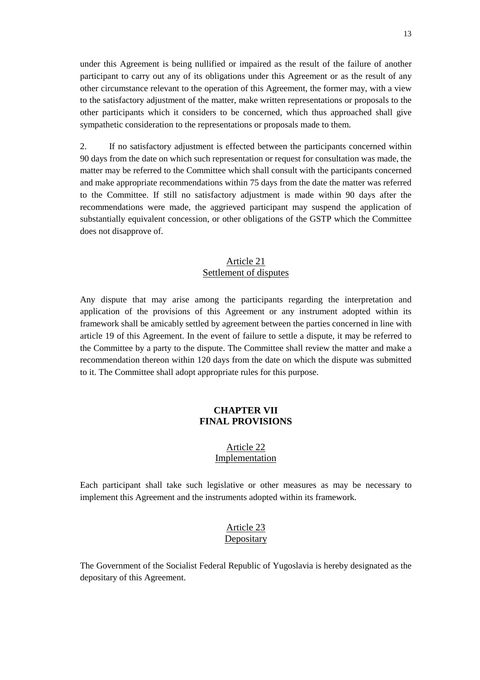under this Agreement is being nullified or impaired as the result of the failure of another participant to carry out any of its obligations under this Agreement or as the result of any other circumstance relevant to the operation of this Agreement, the former may, with a view to the satisfactory adjustment of the matter, make written representations or proposals to the other participants which it considers to be concerned, which thus approached shall give sympathetic consideration to the representations or proposals made to them.

2. If no satisfactory adjustment is effected between the participants concerned within 90 days from the date on which such representation or request for consultation was made, the matter may be referred to the Committee which shall consult with the participants concerned and make appropriate recommendations within 75 days from the date the matter was referred to the Committee. If still no satisfactory adjustment is made within 90 days after the recommendations were made, the aggrieved participant may suspend the application of substantially equivalent concession, or other obligations of the GSTP which the Committee does not disapprove of.

#### Article 21 Settlement of disputes

Any dispute that may arise among the participants regarding the interpretation and application of the provisions of this Agreement or any instrument adopted within its framework shall be amicably settled by agreement between the parties concerned in line with article 19 of this Agreement. In the event of failure to settle a dispute, it may be referred to the Committee by a party to the dispute. The Committee shall review the matter and make a recommendation thereon within 120 days from the date on which the dispute was submitted to it. The Committee shall adopt appropriate rules for this purpose.

## **CHAPTER VII FINAL PROVISIONS**

## Article 22 Implementation

Each participant shall take such legislative or other measures as may be necessary to implement this Agreement and the instruments adopted within its framework.

## Article 23 **Depositary**

The Government of the Socialist Federal Republic of Yugoslavia is hereby designated as the depositary of this Agreement.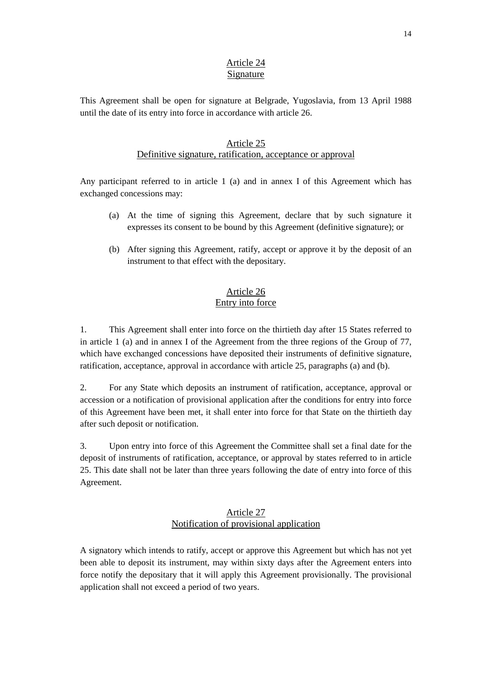### Article 24 Signature

This Agreement shall be open for signature at Belgrade, Yugoslavia, from 13 April 1988 until the date of its entry into force in accordance with article 26.

## Article 25 Definitive signature, ratification, acceptance or approval

Any participant referred to in article 1 (a) and in annex I of this Agreement which has exchanged concessions may:

- (a) At the time of signing this Agreement, declare that by such signature it expresses its consent to be bound by this Agreement (definitive signature); or
- (b) After signing this Agreement, ratify, accept or approve it by the deposit of an instrument to that effect with the depositary.

## Article 26 Entry into force

1. This Agreement shall enter into force on the thirtieth day after 15 States referred to in article 1 (a) and in annex I of the Agreement from the three regions of the Group of 77, which have exchanged concessions have deposited their instruments of definitive signature, ratification, acceptance, approval in accordance with article 25, paragraphs (a) and (b).

2. For any State which deposits an instrument of ratification, acceptance, approval or accession or a notification of provisional application after the conditions for entry into force of this Agreement have been met, it shall enter into force for that State on the thirtieth day after such deposit or notification.

3. Upon entry into force of this Agreement the Committee shall set a final date for the deposit of instruments of ratification, acceptance, or approval by states referred to in article 25. This date shall not be later than three years following the date of entry into force of this Agreement.

## Article 27 Notification of provisional application

A signatory which intends to ratify, accept or approve this Agreement but which has not yet been able to deposit its instrument, may within sixty days after the Agreement enters into force notify the depositary that it will apply this Agreement provisionally. The provisional application shall not exceed a period of two years.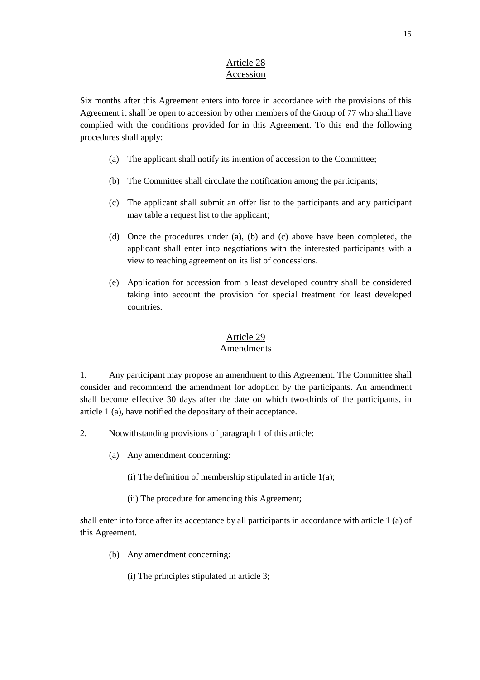## Article 28 Accession

Six months after this Agreement enters into force in accordance with the provisions of this Agreement it shall be open to accession by other members of the Group of 77 who shall have complied with the conditions provided for in this Agreement. To this end the following procedures shall apply:

- (a) The applicant shall notify its intention of accession to the Committee;
- (b) The Committee shall circulate the notification among the participants;
- (c) The applicant shall submit an offer list to the participants and any participant may table a request list to the applicant;
- (d) Once the procedures under (a), (b) and (c) above have been completed, the applicant shall enter into negotiations with the interested participants with a view to reaching agreement on its list of concessions.
- (e) Application for accession from a least developed country shall be considered taking into account the provision for special treatment for least developed countries.

# Article 29

## Amendments

1. Any participant may propose an amendment to this Agreement. The Committee shall consider and recommend the amendment for adoption by the participants. An amendment shall become effective 30 days after the date on which two-thirds of the participants, in article 1 (a), have notified the depositary of their acceptance.

- 2. Notwithstanding provisions of paragraph 1 of this article:
	- (a) Any amendment concerning:
		- (i) The definition of membership stipulated in article  $1(a)$ ;
		- (ii) The procedure for amending this Agreement;

shall enter into force after its acceptance by all participants in accordance with article 1 (a) of this Agreement.

- (b) Any amendment concerning:
	- (i) The principles stipulated in article 3;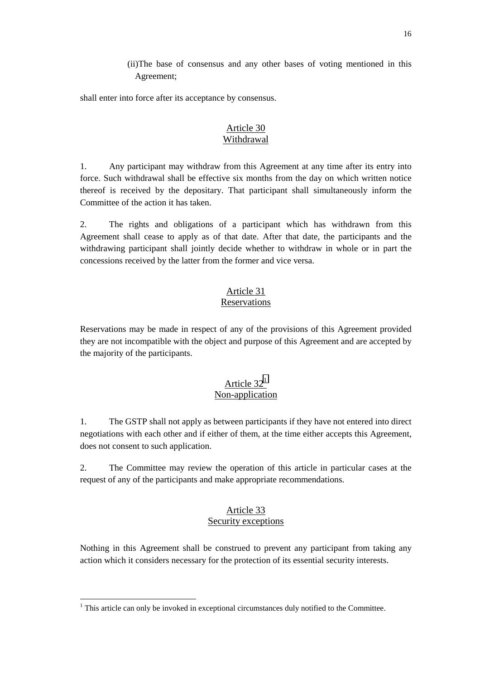(ii)The base of consensus and any other bases of voting mentioned in this Agreement;

shall enter into force after its acceptance by consensus.

#### Article 30 Withdrawal

1. Any participant may withdraw from this Agreement at any time after its entry into force. Such withdrawal shall be effective six months from the day on which written notice thereof is received by the depositary. That participant shall simultaneously inform the Committee of the action it has taken.

2. The rights and obligations of a participant which has withdrawn from this Agreement shall cease to apply as of that date. After that date, the participants and the withdrawing participant shall jointly decide whether to withdraw in whole or in part the concessions received by the latter from the former and vice versa.

## Article 31 Reservations

Reservations may be made in respect of any of the provisions of this Agreement provided they are not incompatible with the object and purpose of this Agreement and are accepted by the majority of the participants.

## Article  $32<sup>1</sup>$ Non-application

1. The GSTP shall not apply as between participants if they have not entered into direct negotiations with each other and if either of them, at the time either accepts this Agreement, does not consent to such application.

2. The Committee may review the operation of this article in particular cases at the request of any of the participants and make appropriate recommendations.

## Article 33 Security exceptions

Nothing in this Agreement shall be construed to prevent any participant from taking any action which it considers necessary for the protection of its essential security interests.

 $\overline{a}$ 

<sup>&</sup>lt;sup>1</sup> This article can only be invoked in exceptional circumstances duly notified to the Committee.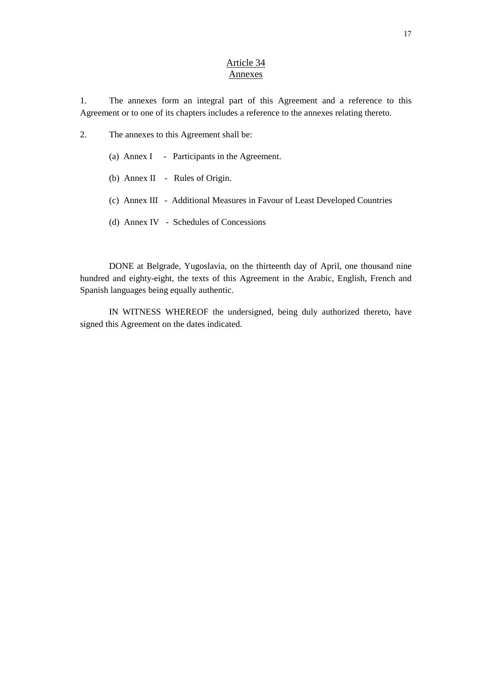## Article 34 Annexes

1. The annexes form an integral part of this Agreement and a reference to this Agreement or to one of its chapters includes a reference to the annexes relating thereto.

- 2. The annexes to this Agreement shall be:
	- (a) Annex I Participants in the Agreement.
	- (b) Annex II Rules of Origin.
	- (c) Annex III Additional Measures in Favour of Least Developed Countries
	- (d) Annex IV Schedules of Concessions

DONE at Belgrade, Yugoslavia, on the thirteenth day of April, one thousand nine hundred and eighty-eight, the texts of this Agreement in the Arabic, English, French and Spanish languages being equally authentic.

IN WITNESS WHEREOF the undersigned, being duly authorized thereto, have signed this Agreement on the dates indicated.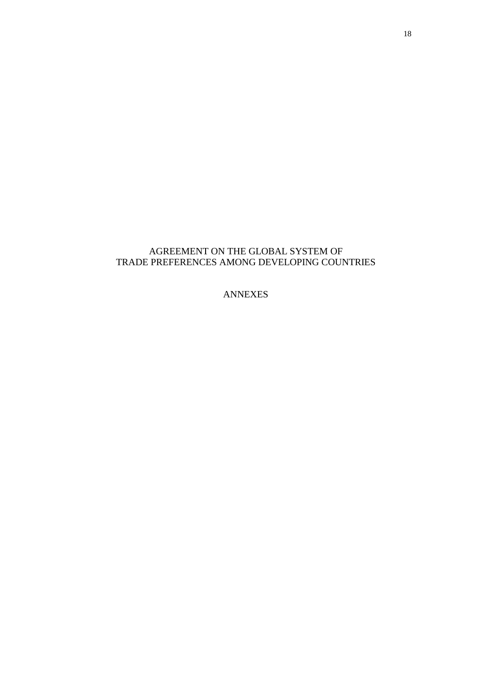## AGREEMENT ON THE GLOBAL SYSTEM OF TRADE PREFERENCES AMONG DEVELOPING COUNTRIES

ANNEXES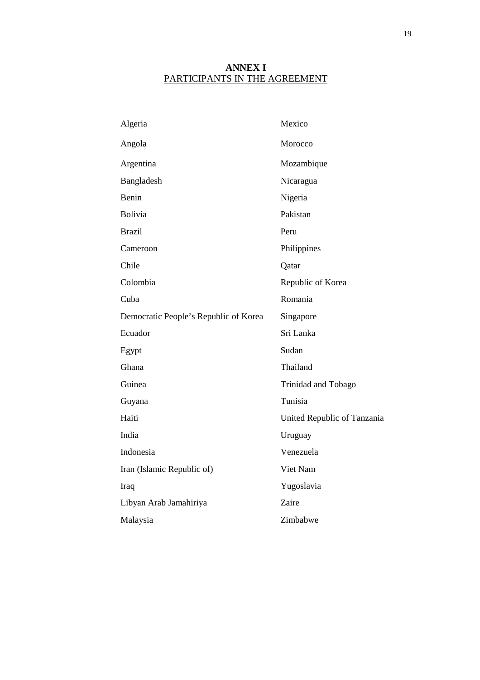## **ANNEX I**  PARTICIPANTS IN THE AGREEMENT

| Algeria                               | Mexico                      |
|---------------------------------------|-----------------------------|
| Angola                                | Morocco                     |
| Argentina                             | Mozambique                  |
| Bangladesh                            | Nicaragua                   |
| Benin                                 | Nigeria                     |
| <b>Bolivia</b>                        | Pakistan                    |
| <b>Brazil</b>                         | Peru                        |
| Cameroon                              | Philippines                 |
| Chile                                 | Qatar                       |
| Colombia                              | Republic of Korea           |
| Cuba                                  | Romania                     |
| Democratic People's Republic of Korea | Singapore                   |
| Ecuador                               | Sri Lanka                   |
| Egypt                                 | Sudan                       |
| Ghana                                 | Thailand                    |
| Guinea                                | Trinidad and Tobago         |
| Guyana                                | Tunisia                     |
| Haiti                                 | United Republic of Tanzania |
| India                                 | Uruguay                     |
| Indonesia                             | Venezuela                   |
| Iran (Islamic Republic of)            | Viet Nam                    |
| Iraq                                  | Yugoslavia                  |
| Libyan Arab Jamahiriya                | Zaire                       |
| Malaysia                              | Zimbabwe                    |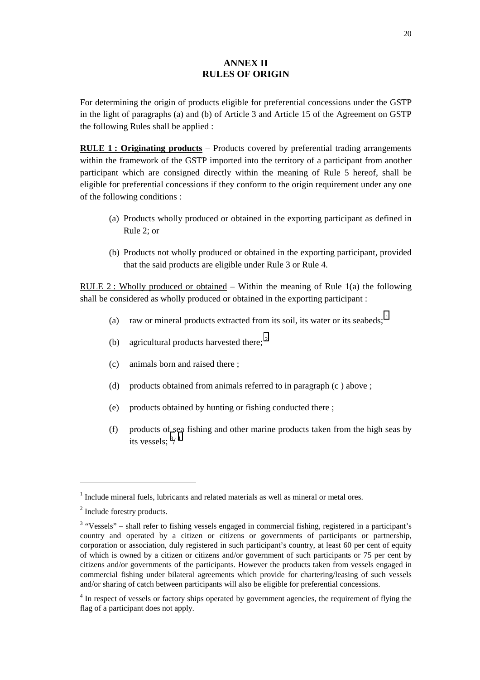## **ANNEX II RULES OF ORIGIN**

For determining the origin of products eligible for preferential concessions under the GSTP in the light of paragraphs (a) and (b) of Article 3 and Article 15 of the Agreement on GSTP the following Rules shall be applied :

**RULE 1 : Originating products** – Products covered by preferential trading arrangements within the framework of the GSTP imported into the territory of a participant from another participant which are consigned directly within the meaning of Rule 5 hereof, shall be eligible for preferential concessions if they conform to the origin requirement under any one of the following conditions :

- (a) Products wholly produced or obtained in the exporting participant as defined in Rule 2; or
- (b) Products not wholly produced or obtained in the exporting participant, provided that the said products are eligible under Rule 3 or Rule 4.

RULE 2 : Wholly produced or obtained – Within the meaning of Rule  $1(a)$  the following shall be considered as wholly produced or obtained in the exporting participant :

- (a) raw or mineral products extracted from its soil, its water or its seabeds;  $<sup>1</sup>$ </sup>
- (b) agricultural products harvested there:  $2^2$
- (c) animals born and raised there ;
- (d) products obtained from animals referred to in paragraph (c ) above ;
- (e) products obtained by hunting or fishing conducted there ;
- (f) products of sea fishing and other marine products taken from the high seas by its vessels;  $\frac{3}{4}$

 $\overline{a}$ 

<sup>&</sup>lt;sup>1</sup> Include mineral fuels, lubricants and related materials as well as mineral or metal ores.

<sup>&</sup>lt;sup>2</sup> Include forestry products.

<sup>&</sup>lt;sup>3</sup> "Vessels" – shall refer to fishing vessels engaged in commercial fishing, registered in a participant's country and operated by a citizen or citizens or governments of participants or partnership, corporation or association, duly registered in such participant's country, at least 60 per cent of equity of which is owned by a citizen or citizens and/or government of such participants or 75 per cent by citizens and/or governments of the participants. However the products taken from vessels engaged in commercial fishing under bilateral agreements which provide for chartering/leasing of such vessels and/or sharing of catch between participants will also be eligible for preferential concessions.

<sup>&</sup>lt;sup>4</sup> In respect of vessels or factory ships operated by government agencies, the requirement of flying the flag of a participant does not apply.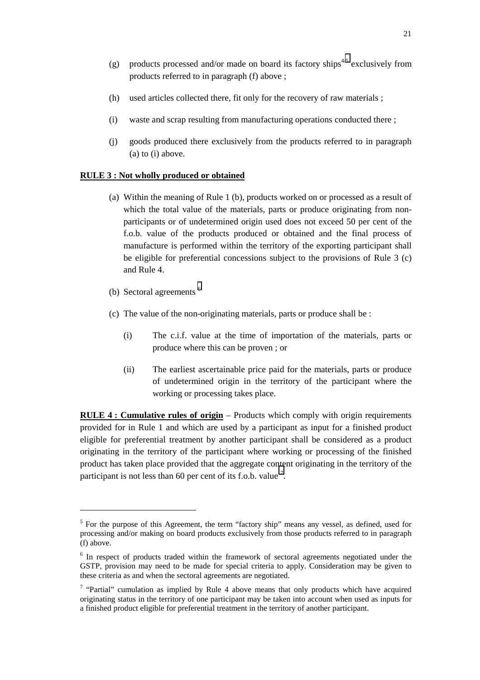- (g) products processed and/or made on board its factory ships<sup> $4/5$ </sup> exclusively from products referred to in paragraph (f) above ;
- (h) used articles collected there, fit only for the recovery of raw materials ;
- (i) waste and scrap resulting from manufacturing operations conducted there ;
- (j) goods produced there exclusively from the products referred to in paragraph (a) to (i) above.

#### **RULE 3 : Not wholly produced or obtained**

- (a) Within the meaning of Rule 1 (b), products worked on or processed as a result of which the total value of the materials, parts or produce originating from nonparticipants or of undetermined origin used does not exceed 50 per cent of the f.o.b. value of the products produced or obtained and the final process of manufacture is performed within the territory of the exporting participant shall be eligible for preferential concessions subject to the provisions of Rule 3 (c) and Rule 4.
- (b) Sectoral agreements <sup>6</sup>

 $\overline{a}$ 

- (c) The value of the non-originating materials, parts or produce shall be :
	- (i) The c.i.f. value at the time of importation of the materials, parts or produce where this can be proven ; or
	- (ii) The earliest ascertainable price paid for the materials, parts or produce of undetermined origin in the territory of the participant where the working or processing takes place.

**RULE 4 : Cumulative rules of origin** – Products which comply with origin requirements provided for in Rule 1 and which are used by a participant as input for a finished product eligible for preferential treatment by another participant shall be considered as a product originating in the territory of the participant where working or processing of the finished product has taken place provided that the aggregate content originating in the territory of the participant is not less than 60 per cent of its f.o.b. value  $<sup>7</sup>$ .</sup>

<sup>&</sup>lt;sup>5</sup> For the purpose of this Agreement, the term "factory ship" means any vessel, as defined, used for processing and/or making on board products exclusively from those products referred to in paragraph (f) above.

<sup>&</sup>lt;sup>6</sup> In respect of products traded within the framework of sectoral agreements negotiated under the GSTP, provision may need to be made for special criteria to apply. Consideration may be given to these criteria as and when the sectoral agreements are negotiated.

<sup>&</sup>lt;sup>7</sup> "Partial" cumulation as implied by Rule 4 above means that only products which have acquired originating status in the territory of one participant may be taken into account when used as inputs for a finished product eligible for preferential treatment in the territory of another participant.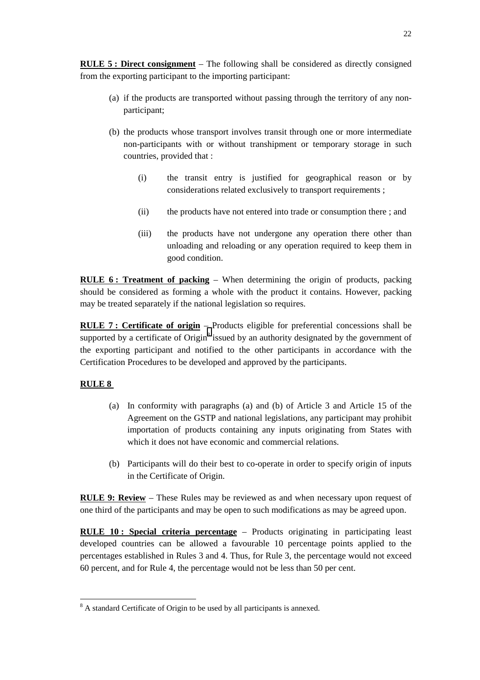**RULE 5 : Direct consignment** – The following shall be considered as directly consigned from the exporting participant to the importing participant:

- (a) if the products are transported without passing through the territory of any nonparticipant;
- (b) the products whose transport involves transit through one or more intermediate non-participants with or without transhipment or temporary storage in such countries, provided that :
	- (i) the transit entry is justified for geographical reason or by considerations related exclusively to transport requirements ;
	- (ii) the products have not entered into trade or consumption there ; and
	- (iii) the products have not undergone any operation there other than unloading and reloading or any operation required to keep them in good condition.

**RULE 6 : Treatment of packing** – When determining the origin of products, packing should be considered as forming a whole with the product it contains. However, packing may be treated separately if the national legislation so requires.

**RULE 7 : Certificate of origin** – Products eligible for preferential concessions shall be supported by a certificate of Origin $^8$  issued by an authority designated by the government of the exporting participant and notified to the other participants in accordance with the Certification Procedures to be developed and approved by the participants.

## **RULE 8**

 $\overline{a}$ 

- (a) In conformity with paragraphs (a) and (b) of Article 3 and Article 15 of the Agreement on the GSTP and national legislations, any participant may prohibit importation of products containing any inputs originating from States with which it does not have economic and commercial relations.
- (b) Participants will do their best to co-operate in order to specify origin of inputs in the Certificate of Origin.

**RULE 9: Review** – These Rules may be reviewed as and when necessary upon request of one third of the participants and may be open to such modifications as may be agreed upon.

**RULE 10 : Special criteria percentage** – Products originating in participating least developed countries can be allowed a favourable 10 percentage points applied to the percentages established in Rules 3 and 4. Thus, for Rule 3, the percentage would not exceed 60 percent, and for Rule 4, the percentage would not be less than 50 per cent.

<sup>&</sup>lt;sup>8</sup> A standard Certificate of Origin to be used by all participants is annexed.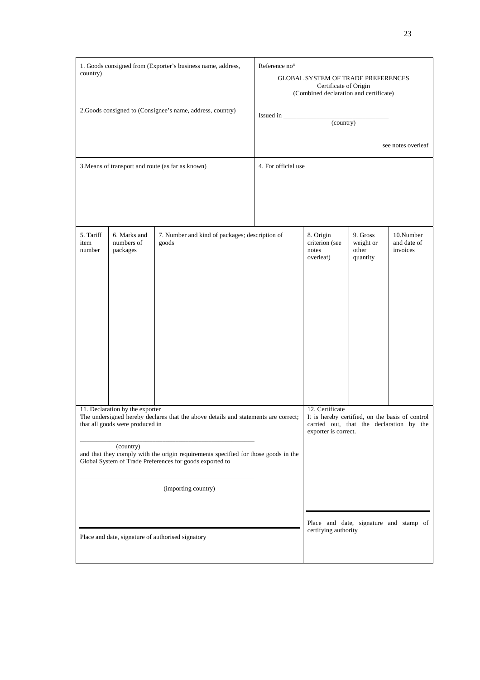| 1. Goods consigned from (Exporter's business name, address,<br>country)                                                                                     |                                        |                                                         | Reference no <sup>o</sup><br><b>GLOBAL SYSTEM OF TRADE PREFERENCES</b><br>Certificate of Origin<br>(Combined declaration and certificate) |                                                   |                                            |                                      |
|-------------------------------------------------------------------------------------------------------------------------------------------------------------|----------------------------------------|---------------------------------------------------------|-------------------------------------------------------------------------------------------------------------------------------------------|---------------------------------------------------|--------------------------------------------|--------------------------------------|
| 2.Goods consigned to (Consignee's name, address, country)                                                                                                   |                                        |                                                         |                                                                                                                                           |                                                   |                                            |                                      |
|                                                                                                                                                             |                                        |                                                         |                                                                                                                                           |                                                   |                                            | see notes overleaf                   |
| 3. Means of transport and route (as far as known)                                                                                                           |                                        |                                                         | 4. For official use                                                                                                                       |                                                   |                                            |                                      |
|                                                                                                                                                             |                                        |                                                         |                                                                                                                                           |                                                   |                                            |                                      |
| 5. Tariff<br>item<br>number                                                                                                                                 | 6. Marks and<br>numbers of<br>packages | 7. Number and kind of packages; description of<br>goods |                                                                                                                                           | 8. Origin<br>criterion (see<br>notes<br>overleaf) | 9. Gross<br>weight or<br>other<br>quantity | 10.Number<br>and date of<br>invoices |
|                                                                                                                                                             |                                        |                                                         |                                                                                                                                           |                                                   |                                            |                                      |
|                                                                                                                                                             |                                        |                                                         |                                                                                                                                           |                                                   |                                            |                                      |
|                                                                                                                                                             |                                        |                                                         |                                                                                                                                           |                                                   |                                            |                                      |
|                                                                                                                                                             |                                        |                                                         |                                                                                                                                           |                                                   |                                            |                                      |
| 11. Declaration by the exporter<br>The undersigned hereby declares that the above details and statements are correct;  <br>that all goods were produced in  |                                        |                                                         | 12. Certificate<br>It is hereby certified, on the basis of control<br>carried out, that the declaration by the<br>exporter is correct.    |                                                   |                                            |                                      |
| (country)<br>and that they comply with the origin requirements specified for those goods in the<br>Global System of Trade Preferences for goods exported to |                                        |                                                         |                                                                                                                                           |                                                   |                                            |                                      |
| (importing country)                                                                                                                                         |                                        |                                                         |                                                                                                                                           |                                                   |                                            |                                      |
| Place and date, signature of authorised signatory                                                                                                           |                                        |                                                         | Place and date, signature and stamp of<br>certifying authority                                                                            |                                                   |                                            |                                      |
|                                                                                                                                                             |                                        |                                                         |                                                                                                                                           |                                                   |                                            |                                      |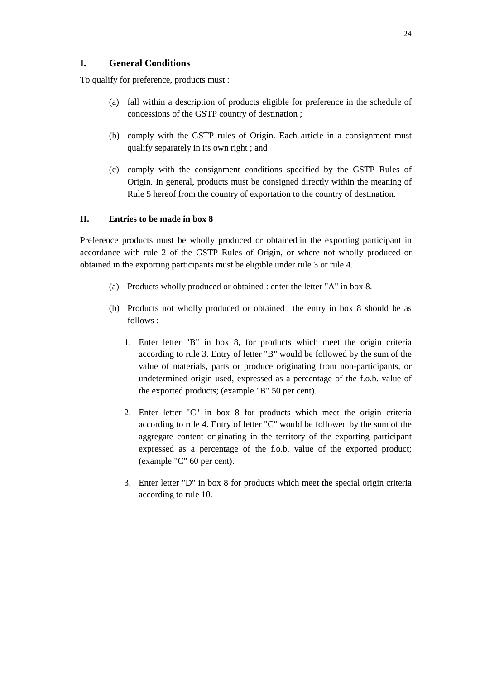## **I. General Conditions**

To qualify for preference, products must :

- (a) fall within a description of products eligible for preference in the schedule of concessions of the GSTP country of destination ;
- (b) comply with the GSTP rules of Origin. Each article in a consignment must qualify separately in its own right ; and
- (c) comply with the consignment conditions specified by the GSTP Rules of Origin. In general, products must be consigned directly within the meaning of Rule 5 hereof from the country of exportation to the country of destination.

#### **II. Entries to be made in box 8**

Preference products must be wholly produced or obtained in the exporting participant in accordance with rule 2 of the GSTP Rules of Origin, or where not wholly produced or obtained in the exporting participants must be eligible under rule 3 or rule 4.

- (a) Products wholly produced or obtained : enter the letter "A" in box 8.
- (b) Products not wholly produced or obtained : the entry in box 8 should be as follows :
	- 1. Enter letter "B" in box 8, for products which meet the origin criteria according to rule 3. Entry of letter "B" would be followed by the sum of the value of materials, parts or produce originating from non-participants, or undetermined origin used, expressed as a percentage of the f.o.b. value of the exported products; (example "B" 50 per cent).
	- 2. Enter letter "C" in box 8 for products which meet the origin criteria according to rule 4. Entry of letter "C" would be followed by the sum of the aggregate content originating in the territory of the exporting participant expressed as a percentage of the f.o.b. value of the exported product; (example "C" 60 per cent).
	- 3. Enter letter "D" in box 8 for products which meet the special origin criteria according to rule 10.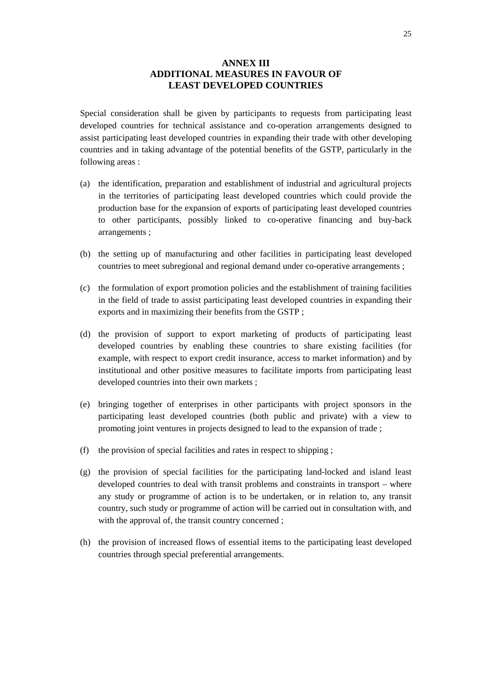## **ANNEX III ADDITIONAL MEASURES IN FAVOUR OF LEAST DEVELOPED COUNTRIES**

Special consideration shall be given by participants to requests from participating least developed countries for technical assistance and co-operation arrangements designed to assist participating least developed countries in expanding their trade with other developing countries and in taking advantage of the potential benefits of the GSTP, particularly in the following areas :

- (a) the identification, preparation and establishment of industrial and agricultural projects in the territories of participating least developed countries which could provide the production base for the expansion of exports of participating least developed countries to other participants, possibly linked to co-operative financing and buy-back arrangements ;
- (b) the setting up of manufacturing and other facilities in participating least developed countries to meet subregional and regional demand under co-operative arrangements ;
- (c) the formulation of export promotion policies and the establishment of training facilities in the field of trade to assist participating least developed countries in expanding their exports and in maximizing their benefits from the GSTP ;
- (d) the provision of support to export marketing of products of participating least developed countries by enabling these countries to share existing facilities (for example, with respect to export credit insurance, access to market information) and by institutional and other positive measures to facilitate imports from participating least developed countries into their own markets ;
- (e) bringing together of enterprises in other participants with project sponsors in the participating least developed countries (both public and private) with a view to promoting joint ventures in projects designed to lead to the expansion of trade ;
- (f) the provision of special facilities and rates in respect to shipping ;
- (g) the provision of special facilities for the participating land-locked and island least developed countries to deal with transit problems and constraints in transport – where any study or programme of action is to be undertaken, or in relation to, any transit country, such study or programme of action will be carried out in consultation with, and with the approval of, the transit country concerned ;
- (h) the provision of increased flows of essential items to the participating least developed countries through special preferential arrangements.